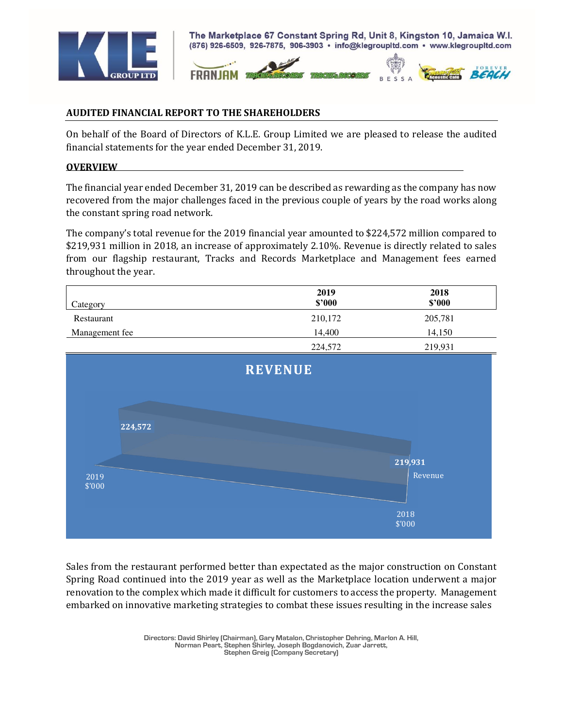



## **AUDITED FINANCIAL REPORT TO THE SHAREHOLDERS**

On behalf of the Board of Directors of K.L.E. Group Limited we are pleased to release the audited financial statements for the year ended December 31, 2019.

## **OVERVIEW**

The financial year ended December 31, 2019 can be described as rewarding as the company has now recovered from the major challenges faced in the previous couple of years by the road works along the constant spring road network.

The company's total revenue for the 2019 financial year amounted to \$224,572 million compared to \$219,931 million in 2018, an increase of approximately 2.10%. Revenue is directly related to sales from our flagship restaurant, Tracks and Records Marketplace and Management fees earned throughout the year.

| Category       | 2019<br>\$2000 | 2018<br>\$2000 |
|----------------|----------------|----------------|
| Restaurant     | 210,172        | 205,781        |
| Management fee | 14.400         | 14.150         |
|                | 224.572        | 210.021        |



Sales from the restaurant performed better than expectated as the major construction on Constant Spring Road continued into the 2019 year as well as the Marketplace location underwent a major renovation to the complex which made it difficult for customers to access the property. Management embarked on innovative marketing strategies to combat these issues resulting in the increase sales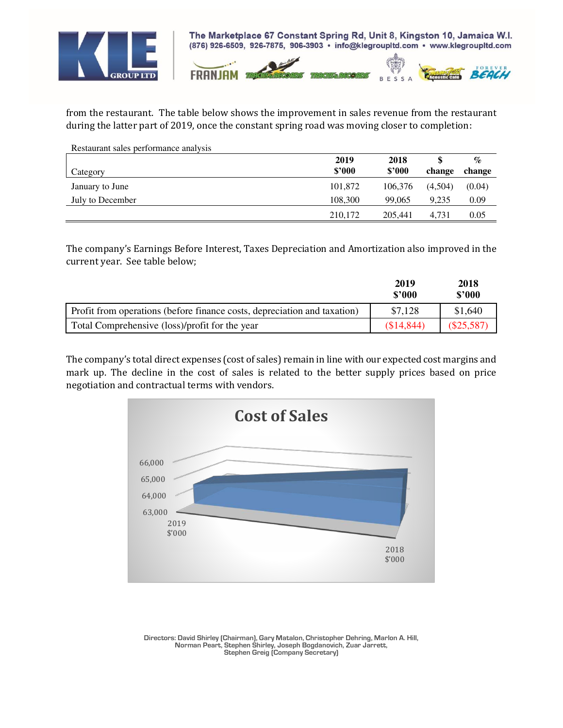



from the restaurant. The table below shows the improvement in sales revenue from the restaurant during the latter part of 2019, once the constant spring road was moving closer to completion:

| Restaurant sales performance analysis |         |         |         |        |
|---------------------------------------|---------|---------|---------|--------|
|                                       | 2019    | 2018    |         | $\%$   |
| Category                              | \$2000  | \$2000  | change  | change |
| January to June                       | 101,872 | 106,376 | (4,504) | (0.04) |
| July to December                      | 108,300 | 99,065  | 9.235   | 0.09   |
|                                       | 210,172 | 205,441 | 4.731   | 0.05   |

The company's Earnings Before Interest, Taxes Depreciation and Amortization also improved in the current year. See table below;

|                                                                          | 2019<br>\$'000 | 2018<br>\$3000 |
|--------------------------------------------------------------------------|----------------|----------------|
| Profit from operations (before finance costs, depreciation and taxation) | \$7,128        | \$1,640        |
| Total Comprehensive (loss)/profit for the year                           | (S14, 844)     | (S25,587)      |

The company's total direct expenses (cost of sales) remain in line with our expected cost margins and mark up. The decline in the cost of sales is related to the better supply prices based on price negotiation and contractual terms with vendors.

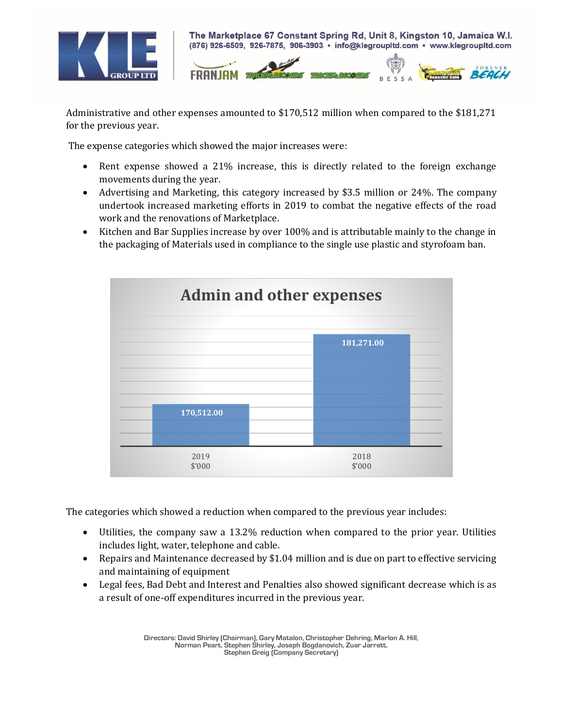



Administrative and other expenses amounted to \$170,512 million when compared to the \$181,271 for the previous year.

The expense categories which showed the major increases were:

- Rent expense showed a 21% increase, this is directly related to the foreign exchange movements during the year.
- Advertising and Marketing, this category increased by \$3.5 million or 24%. The company undertook increased marketing efforts in 2019 to combat the negative effects of the road work and the renovations of Marketplace.
- Kitchen and Bar Supplies increase by over 100% and is attributable mainly to the change in the packaging of Materials used in compliance to the single use plastic and styrofoam ban.



The categories which showed a reduction when compared to the previous year includes:

- Utilities, the company saw a 13.2% reduction when compared to the prior year. Utilities includes light, water, telephone and cable.
- Repairs and Maintenance decreased by \$1.04 million and is due on part to effective servicing and maintaining of equipment
- Legal fees, Bad Debt and Interest and Penalties also showed significant decrease which is as a result of one-off expenditures incurred in the previous year.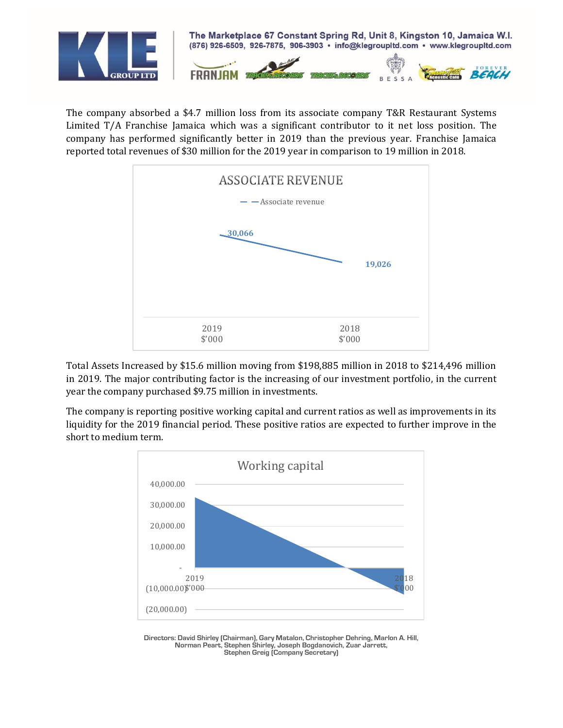

The company absorbed a \$4.7 million loss from its associate company T&R Restaurant Systems Limited T/A Franchise Jamaica which was a significant contributor to it net loss position. The company has performed significantly better in 2019 than the previous year. Franchise Jamaica reported total revenues of \$30 million for the 2019 year in comparison to 19 million in 2018.



Total Assets Increased by \$15.6 million moving from \$198,885 million in 2018 to \$214,496 million in 2019. The major contributing factor is the increasing of our investment portfolio, in the current year the company purchased \$9.75 million in investments.

The company is reporting positive working capital and current ratios as well as improvements in its liquidity for the 2019 financial period. These positive ratios are expected to further improve in the short to medium term.

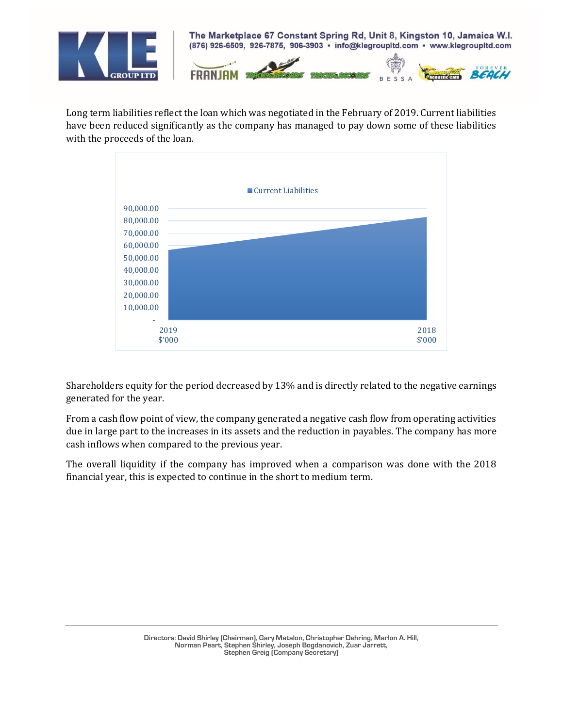

Long term liabilities reflect the loan which was negotiated in the February of 2019. Current liabilities have been reduced significantly as the company has managed to pay down some of these liabilities with the proceeds of the loan.



Shareholders equity for the period decreased by 13% and is directly related to the negative earnings generated for the year.

From a cash flow point of view, the company generated a negative cash flow from operating activities due in large part to the increases in its assets and the reduction in payables. The company has more cash inflows when compared to the previous year.

The overall liquidity if the company has improved when a comparison was done with the 2018 financial year, this is expected to continue in the short to medium term.